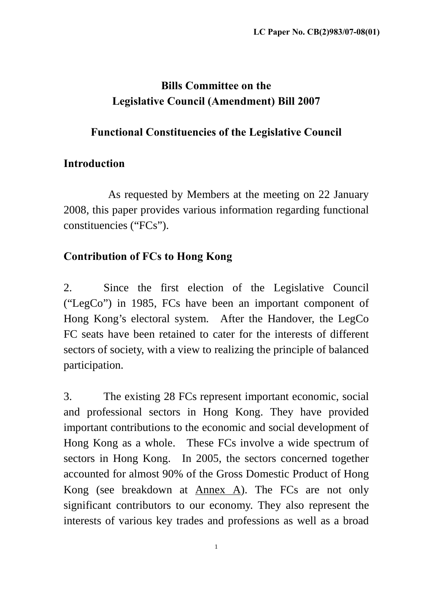# **Bills Committee on the Legislative Council (Amendment) Bill 2007**

## **Functional Constituencies of the Legislative Council**

## **Introduction**

 As requested by Members at the meeting on 22 January 2008, this paper provides various information regarding functional constituencies ("FCs").

## **Contribution of FCs to Hong Kong**

2. Since the first election of the Legislative Council ("LegCo") in 1985, FCs have been an important component of Hong Kong's electoral system. After the Handover, the LegCo FC seats have been retained to cater for the interests of different sectors of society, with a view to realizing the principle of balanced participation.

3. The existing 28 FCs represent important economic, social and professional sectors in Hong Kong. They have provided important contributions to the economic and social development of Hong Kong as a whole. These FCs involve a wide spectrum of sectors in Hong Kong. In 2005, the sectors concerned together accounted for almost 90% of the Gross Domestic Product of Hong Kong (see breakdown at Annex A). The FCs are not only significant contributors to our economy. They also represent the interests of various key trades and professions as well as a broad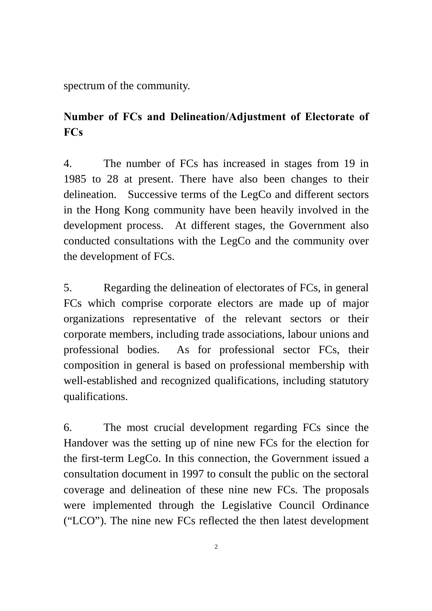spectrum of the community.

# **Number of FCs and Delineation/Adjustment of Electorate of FCs**

4. The number of FCs has increased in stages from 19 in 1985 to 28 at present. There have also been changes to their delineation. Successive terms of the LegCo and different sectors in the Hong Kong community have been heavily involved in the development process. At different stages, the Government also conducted consultations with the LegCo and the community over the development of FCs.

5. Regarding the delineation of electorates of FCs, in general FCs which comprise corporate electors are made up of major organizations representative of the relevant sectors or their corporate members, including trade associations, labour unions and professional bodies. As for professional sector FCs, their composition in general is based on professional membership with well-established and recognized qualifications, including statutory qualifications.

6. The most crucial development regarding FCs since the Handover was the setting up of nine new FCs for the election for the first-term LegCo. In this connection, the Government issued a consultation document in 1997 to consult the public on the sectoral coverage and delineation of these nine new FCs. The proposals were implemented through the Legislative Council Ordinance ("LCO"). The nine new FCs reflected the then latest development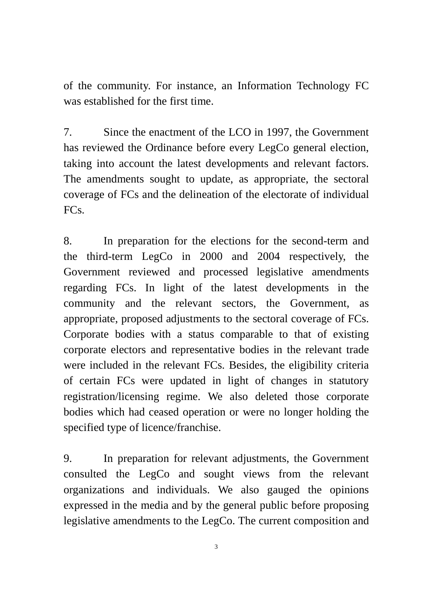of the community. For instance, an Information Technology FC was established for the first time.

7. Since the enactment of the LCO in 1997, the Government has reviewed the Ordinance before every LegCo general election, taking into account the latest developments and relevant factors. The amendments sought to update, as appropriate, the sectoral coverage of FCs and the delineation of the electorate of individual FCs.

8. In preparation for the elections for the second-term and the third-term LegCo in 2000 and 2004 respectively, the Government reviewed and processed legislative amendments regarding FCs. In light of the latest developments in the community and the relevant sectors, the Government, as appropriate, proposed adjustments to the sectoral coverage of FCs. Corporate bodies with a status comparable to that of existing corporate electors and representative bodies in the relevant trade were included in the relevant FCs. Besides, the eligibility criteria of certain FCs were updated in light of changes in statutory registration/licensing regime. We also deleted those corporate bodies which had ceased operation or were no longer holding the specified type of licence/franchise.

9. In preparation for relevant adjustments, the Government consulted the LegCo and sought views from the relevant organizations and individuals. We also gauged the opinions expressed in the media and by the general public before proposing legislative amendments to the LegCo. The current composition and

3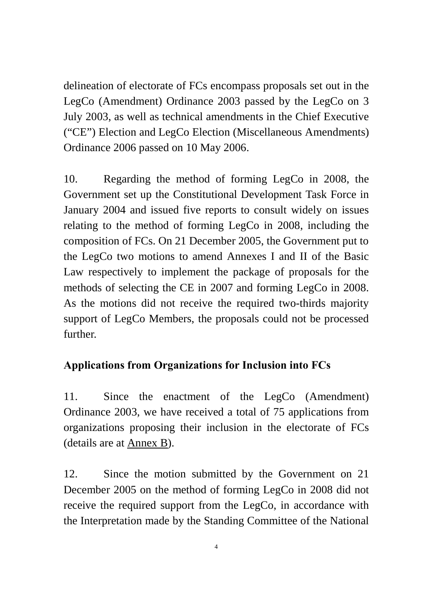delineation of electorate of FCs encompass proposals set out in the LegCo (Amendment) Ordinance 2003 passed by the LegCo on 3 July 2003, as well as technical amendments in the Chief Executive ("CE") Election and LegCo Election (Miscellaneous Amendments) Ordinance 2006 passed on 10 May 2006.

10. Regarding the method of forming LegCo in 2008, the Government set up the Constitutional Development Task Force in January 2004 and issued five reports to consult widely on issues relating to the method of forming LegCo in 2008, including the composition of FCs. On 21 December 2005, the Government put to the LegCo two motions to amend Annexes I and II of the Basic Law respectively to implement the package of proposals for the methods of selecting the CE in 2007 and forming LegCo in 2008. As the motions did not receive the required two-thirds majority support of LegCo Members, the proposals could not be processed further.

#### **Applications from Organizations for Inclusion into FCs**

11. Since the enactment of the LegCo (Amendment) Ordinance 2003, we have received a total of 75 applications from organizations proposing their inclusion in the electorate of FCs (details are at Annex B).

12. Since the motion submitted by the Government on 21 December 2005 on the method of forming LegCo in 2008 did not receive the required support from the LegCo, in accordance with the Interpretation made by the Standing Committee of the National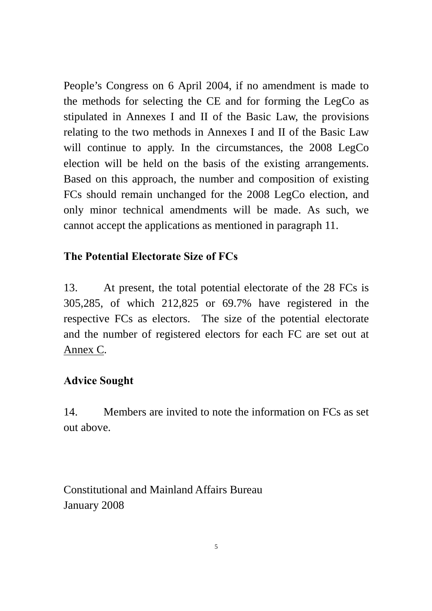People's Congress on 6 April 2004, if no amendment is made to the methods for selecting the CE and for forming the LegCo as stipulated in Annexes I and II of the Basic Law, the provisions relating to the two methods in Annexes I and II of the Basic Law will continue to apply. In the circumstances, the 2008 LegCo election will be held on the basis of the existing arrangements. Based on this approach, the number and composition of existing FCs should remain unchanged for the 2008 LegCo election, and only minor technical amendments will be made. As such, we cannot accept the applications as mentioned in paragraph 11.

#### **The Potential Electorate Size of FCs**

13. At present, the total potential electorate of the 28 FCs is 305,285, of which 212,825 or 69.7% have registered in the respective FCs as electors. The size of the potential electorate and the number of registered electors for each FC are set out at Annex C.

#### **Advice Sought**

14. Members are invited to note the information on FCs as set out above.

Constitutional and Mainland Affairs Bureau January 2008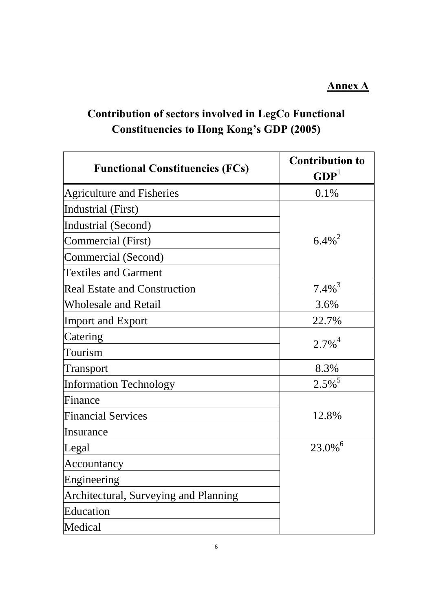### **Annex A**

# **Contribution of sectors involved in LegCo Functional Constituencies to Hong Kong's GDP (2005)**

| <b>Functional Constituencies (FCs)</b> | <b>Contribution to</b><br>GDP <sup>1</sup> |
|----------------------------------------|--------------------------------------------|
| <b>Agriculture and Fisheries</b>       | 0.1%                                       |
| Industrial (First)                     |                                            |
| Industrial (Second)                    |                                            |
| Commercial (First)                     | $6.4\%^{2}$                                |
| Commercial (Second)                    |                                            |
| <b>Textiles and Garment</b>            |                                            |
| <b>Real Estate and Construction</b>    | $7.4\%$ <sup>3</sup>                       |
| <b>Wholesale and Retail</b>            | 3.6%                                       |
| <b>Import and Export</b>               | 22.7%                                      |
| Catering                               | $2.7\%$ <sup>4</sup>                       |
| Tourism                                |                                            |
| <b>Transport</b>                       | 8.3%                                       |
| <b>Information Technology</b>          | $2.5\%$ <sup>5</sup>                       |
| Finance                                |                                            |
| <b>Financial Services</b>              | 12.8%                                      |
| Insurance                              |                                            |
| Legal                                  | 23.0% <sup>6</sup>                         |
| Accountancy                            |                                            |
| Engineering                            |                                            |
| Architectural, Surveying and Planning  |                                            |
| Education                              |                                            |
| Medical                                |                                            |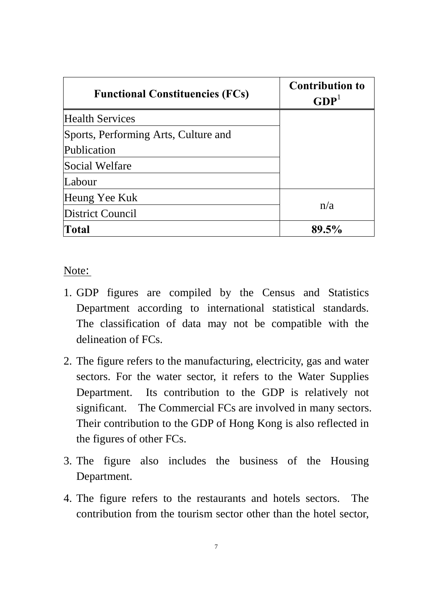| <b>Functional Constituencies (FCs)</b> | <b>Contribution to</b><br>GDP <sup>1</sup> |  |
|----------------------------------------|--------------------------------------------|--|
| <b>Health Services</b>                 |                                            |  |
| Sports, Performing Arts, Culture and   |                                            |  |
| Publication                            |                                            |  |
| Social Welfare                         |                                            |  |
| Labour                                 |                                            |  |
| Heung Yee Kuk                          | n/a                                        |  |
| District Council                       |                                            |  |
| <b>Total</b>                           | 89.5%                                      |  |

Note:

- 1. GDP figures are compiled by the Census and Statistics Department according to international statistical standards. The classification of data may not be compatible with the delineation of FCs.
- 2. The figure refers to the manufacturing, electricity, gas and water sectors. For the water sector, it refers to the Water Supplies Department. Its contribution to the GDP is relatively not significant. The Commercial FCs are involved in many sectors. Their contribution to the GDP of Hong Kong is also reflected in the figures of other FCs.
- 3. The figure also includes the business of the Housing Department.
- 4. The figure refers to the restaurants and hotels sectors. The contribution from the tourism sector other than the hotel sector,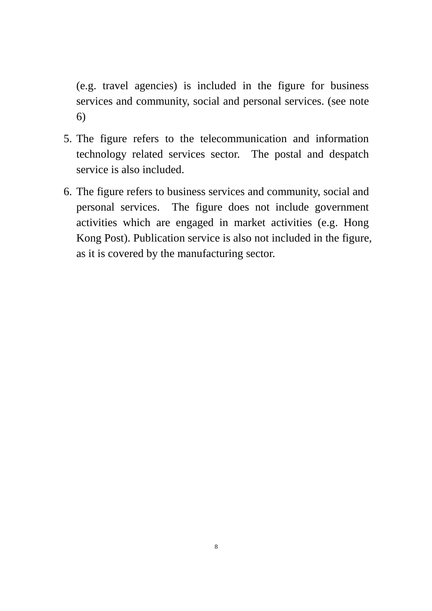(e.g. travel agencies) is included in the figure for business services and community, social and personal services. (see note 6)

- 5. The figure refers to the telecommunication and information technology related services sector. The postal and despatch service is also included.
- 6. The figure refers to business services and community, social and personal services. The figure does not include government activities which are engaged in market activities (e.g. Hong Kong Post). Publication service is also not included in the figure, as it is covered by the manufacturing sector.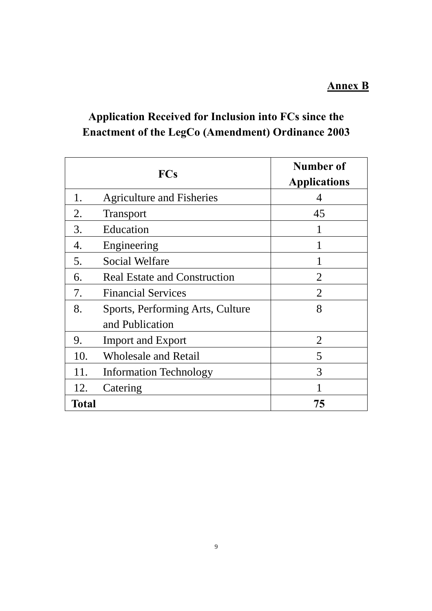### **Annex B**

# **Application Received for Inclusion into FCs since the Enactment of the LegCo (Amendment) Ordinance 2003**

|              | <b>FCs</b>                          | Number of<br><b>Applications</b> |
|--------------|-------------------------------------|----------------------------------|
| 1.           | <b>Agriculture and Fisheries</b>    | 4                                |
| 2.           | <b>Transport</b>                    | 45                               |
| 3.           | Education                           |                                  |
| 4.           | Engineering                         |                                  |
| 5.           | Social Welfare                      |                                  |
| 6.           | <b>Real Estate and Construction</b> | 2                                |
| 7.           | <b>Financial Services</b>           | $\overline{2}$                   |
| 8.           | Sports, Performing Arts, Culture    | 8                                |
|              | and Publication                     |                                  |
| 9.           | <b>Import and Export</b>            | $\overline{2}$                   |
| 10.          | <b>Wholesale and Retail</b>         | 5                                |
| 11.          | <b>Information Technology</b>       | 3                                |
| 12.          | Catering                            |                                  |
| <b>Total</b> |                                     | 75                               |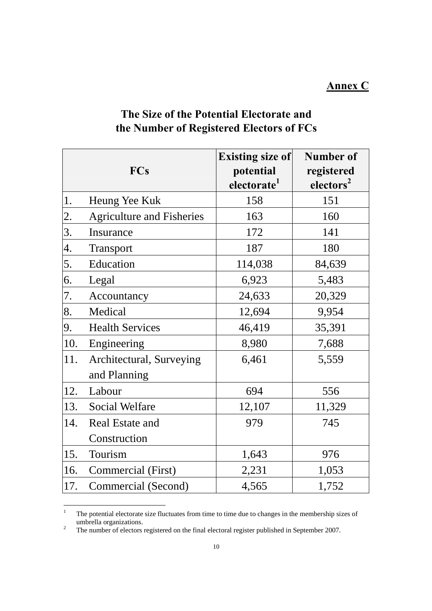### **Annex C**

|     | <b>FCs</b>                               | <b>Existing size of</b><br>potential<br>electorate <sup>1</sup> | Number of<br>registered<br>electors <sup>2</sup> |
|-----|------------------------------------------|-----------------------------------------------------------------|--------------------------------------------------|
| 1.  | Heung Yee Kuk                            | 158                                                             | 151                                              |
| 2.  | <b>Agriculture and Fisheries</b>         | 163                                                             | 160                                              |
| 3.  | Insurance                                | 172                                                             | 141                                              |
| 4.  | Transport                                | 187                                                             | 180                                              |
| 5.  | Education                                | 114,038                                                         | 84,639                                           |
| 6.  | Legal                                    | 6,923                                                           | 5,483                                            |
| 7.  | Accountancy                              | 24,633                                                          | 20,329                                           |
| 8.  | Medical                                  | 12,694                                                          | 9,954                                            |
| 9.  | <b>Health Services</b>                   | 46,419                                                          | 35,391                                           |
| 10. | Engineering                              | 8,980                                                           | 7,688                                            |
| 11. | Architectural, Surveying<br>and Planning | 6,461                                                           | 5,559                                            |
| 12. | Labour                                   | 694                                                             | 556                                              |
| 13. | <b>Social Welfare</b>                    | 12,107                                                          | 11,329                                           |
| 14. | Real Estate and                          | 979                                                             | 745                                              |
|     | Construction                             |                                                                 |                                                  |
| 15. | Tourism                                  | 1,643                                                           | 976                                              |
| 16. | Commercial (First)                       | 2,231                                                           | 1,053                                            |
| 17. | Commercial (Second)                      | 4,565                                                           | 1,752                                            |

### **The Size of the Potential Electorate and the Number of Registered Electors of FCs**

 $\frac{1}{1}$  The potential electorate size fluctuates from time to time due to changes in the membership sizes of umbrella organizations.<br> $\frac{2}{\pi}$  The number of electors

The number of electors registered on the final electoral register published in September 2007.